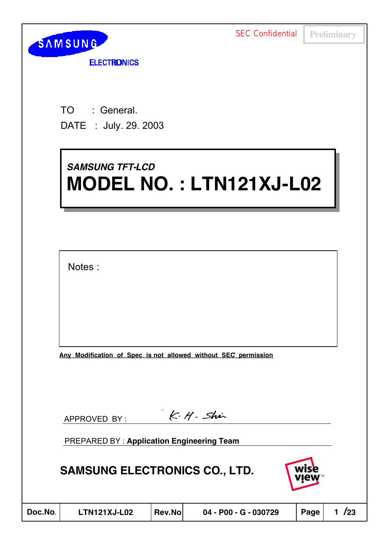**ELECTRONICS** 

**SAMSUNG** 

TO : General. DATE : July. 29. 2003

# *SAMSUNG TFT-LCD SAMSUNG TFT-LCD* **MODEL NO. : LTN121XJ-L02 MODEL NO. : LTN121XJ-L02**

Notes :

**Any Modification of Spec is not allowed without SEC' permission**

 $K.$  H. Shir

| APPROVED BY: |  |
|--------------|--|
|              |  |

PREPARED BY : **Application Engineering Team**

## **SAMSUNG ELECTRONICS CO., LTD.**



| Doc.No. |
|---------|
|---------|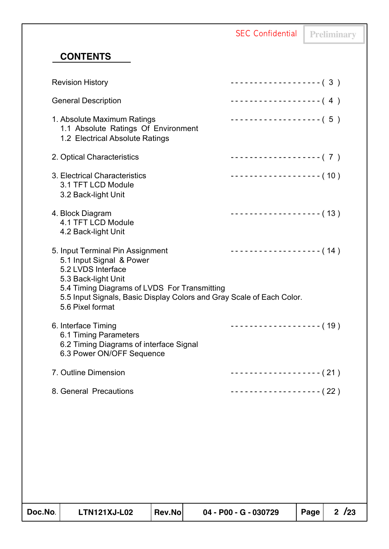**SEC Confidential Preliminary CONTENTS** Revision History General Description 1. Absolute Maximum Ratings 1.1 Absolute Ratings Of Environment 1.2 Electrical Absolute Ratings 2. Optical Characteristics 3. Electrical Characteristics 3.1 TFT LCD Module 3.2 Back-light Unit 4. Block Diagram 4.1 TFT LCD Module 4.2 Back-light Unit 5. Input Terminal Pin Assignment 5.1 Input Signal & Power 5.2 LVDS Interface 5.3 Back-light Unit 5.4 Timing Diagrams of LVDS For Transmitting 5.5 Input Signals, Basic Display Colors and Gray Scale of Each Color. 5.6 Pixel format 6. Interface Timing 6.1 Timing Parameters 6.2 Timing Diagrams of interface Signal 6.3 Power ON/OFF Sequence 7. Outline Dimension 8. General Precautions - - - - - - - - - - - - - - - - - - - ( 3 ) - - - - - - - - - - - - - - - - - - - ( 4 ) - - - - - - - - - - - - - - - - - - - ( 5 ) - - - - - - - - - - - - - - - - - - - ( 7 ) - - - - - - - - - - - - - - - - - - - ( 10 ) - - - - - - - - - - - - - - - - - - - ( 13 ) - - - - - - - - - - - - - - - - - - - ( 14 ) - - - - - - - - - - - - - - - - - - - ( 19 ) - - - - - - - - - - - - - - - - - - - ( 21 ) - - - - - - - - - - - - - - - - - - - ( 22 )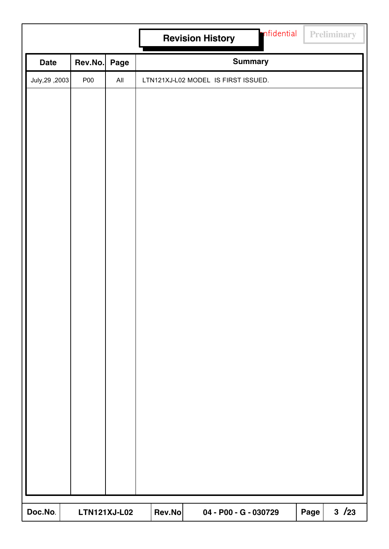|                |         |                     |        | <b>Revision History</b>             | nfidential |      | <b>Preliminary</b> |
|----------------|---------|---------------------|--------|-------------------------------------|------------|------|--------------------|
| <b>Date</b>    | Rev.No. | Page                |        | <b>Summary</b>                      |            |      |                    |
| July, 29, 2003 | P00     | $\mathsf{All}$      |        | LTN121XJ-L02 MODEL IS FIRST ISSUED. |            |      |                    |
|                |         |                     |        |                                     |            |      |                    |
|                |         |                     |        |                                     |            |      |                    |
|                |         |                     |        |                                     |            |      |                    |
|                |         |                     |        |                                     |            |      |                    |
|                |         |                     |        |                                     |            |      |                    |
|                |         |                     |        |                                     |            |      |                    |
|                |         |                     |        |                                     |            |      |                    |
|                |         |                     |        |                                     |            |      |                    |
|                |         |                     |        |                                     |            |      |                    |
|                |         |                     |        |                                     |            |      |                    |
|                |         |                     |        |                                     |            |      |                    |
|                |         |                     |        |                                     |            |      |                    |
|                |         |                     |        |                                     |            |      |                    |
|                |         |                     |        |                                     |            |      |                    |
|                |         |                     |        |                                     |            |      |                    |
|                |         |                     |        |                                     |            |      |                    |
|                |         |                     |        |                                     |            |      |                    |
|                |         |                     |        |                                     |            |      |                    |
|                |         |                     |        |                                     |            |      |                    |
|                |         |                     |        |                                     |            |      |                    |
|                |         |                     |        |                                     |            |      |                    |
|                |         |                     |        |                                     |            |      |                    |
|                |         |                     |        |                                     |            |      |                    |
| Doc.No.        |         | <b>LTN121XJ-L02</b> | Rev.No | 04 - P00 - G - 030729               |            | Page | $3 / 23$           |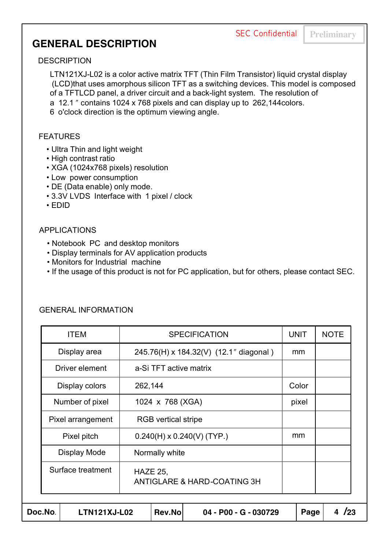## **GENERAL DESCRIPTION**

### **DESCRIPTION**

LTN121XJ-L02 is a color active matrix TFT (Thin Film Transistor) liquid crystal display (LCD)that uses amorphous silicon TFT as a switching devices. This model is composed of a TFTLCD panel, a driver circuit and a back-light system. The resolution of a 12.1 ″ contains 1024 x 768 pixels and can display up to 262,144colors.

6 o'clock direction is the optimum viewing angle.

### FEATURES

- Ultra Thin and light weight
- High contrast ratio
- XGA (1024x768 pixels) resolution
- Low power consumption
- DE (Data enable) only mode.
- 3.3V LVDS Interface with 1 pixel / clock
- EDID

### APPLICATIONS

- Notebook PC and desktop monitors
- Display terminals for AV application products
- Monitors for Industrial machine
- If the usage of this product is not for PC application, but for others, please contact SEC.

| Doc.No.<br><b>LTN121XJ-L02</b> |                                | Rev.No                                 | 04 - P00 - G - 030729 | Page        | 4/23 |
|--------------------------------|--------------------------------|----------------------------------------|-----------------------|-------------|------|
|                                | Surface treatment              |                                        |                       |             |      |
|                                | Display Mode<br>Normally white |                                        |                       |             |      |
|                                | Pixel pitch                    | $0.240(H) \times 0.240(V)$ (TYP.)      |                       |             |      |
|                                | Pixel arrangement              | <b>RGB</b> vertical stripe             |                       |             |      |
|                                | Number of pixel                | 1024 x 768 (XGA)                       | pixel                 |             |      |
|                                | Display colors                 | 262,144                                | Color                 |             |      |
|                                | Driver element                 | a-Si TFT active matrix                 |                       |             |      |
|                                | Display area                   | 245.76(H) x 184.32(V) (12.1" diagonal) | mm                    |             |      |
|                                | <b>ITEM</b>                    | <b>SPECIFICATION</b>                   | <b>UNIT</b>           | <b>NOTE</b> |      |

### GENERAL INFORMATION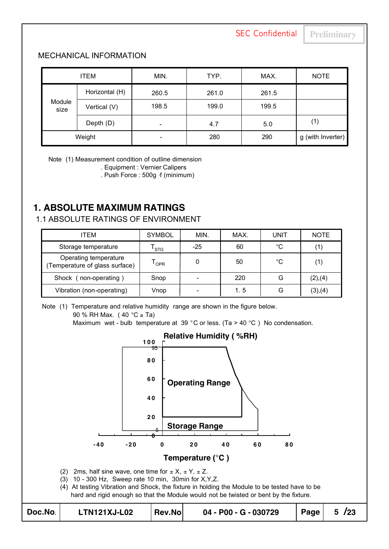### MECHANICAL INFORMATION

| <b>ITEM</b>    |              | MIN.  | TYP.  | MAX.  | <b>NOTE</b>       |
|----------------|--------------|-------|-------|-------|-------------------|
| Horizontal (H) |              | 260.5 | 261.0 | 261.5 |                   |
| Module<br>size | Vertical (V) | 198.5 | 199.0 | 199.5 |                   |
|                | Depth (D)    | -     | 4.7   | 5.0   | (1)               |
| Weight         |              |       | 280   | 290   | g (with Inverter) |

Note (1) Measurement condition of outline dimension

. Equipment : Vernier Calipers

. Push Force : 500g ⋅f (minimum)

## **1. ABSOLUTE MAXIMUM RATINGS**

### 1.1 ABSOLUTE RATINGS OF ENVIRONMENT

| <b>ITEM</b>                                             | <b>SYMBOL</b> | MIN.  | MAX. | UNIT        | <b>NOTE</b> |
|---------------------------------------------------------|---------------|-------|------|-------------|-------------|
| Storage temperature                                     | <b>STG</b>    | $-25$ | 60   | $^{\circ}C$ | ′1)         |
| Operating temperature<br>(Temperature of glass surface) | OPR           |       | 50   | °C          | '1)         |
| Shock (non-operating)                                   | Snop          |       | 220  | G           | (2),(4)     |
| Vibration (non-operating)                               | Vnop          |       | 1.5  | G           | (3),(4)     |

Note (1) Temperature and relative humidity range are shown in the figure below. 90 % RH Max. ( 40 °C ≥ Ta)



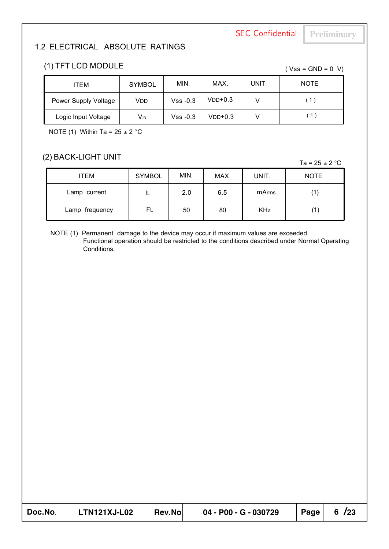## 1.2 ELECTRICAL ABSOLUTE RATINGS

## (1) TFT LCD MODULE  $( Vss = GND = 0 \ V)$

| ITEM                 | <b>SYMBOL</b> | MIN.       | MAX.      | UNIT | <b>NOTE</b> |
|----------------------|---------------|------------|-----------|------|-------------|
| Power Supply Voltage | VDD           | $Vss -0.3$ | $VDD+0.3$ |      | 〔1〕         |
| Logic Input Voltage  | Vın           | $Vss -0.3$ | $VDD+0.3$ |      | (1)         |

NOTE (1) Within Ta =  $25 \pm 2$  °C

### (2) BACK-LIGHT UNIT

Ta =  $25 \pm 2$  °C

| ITEM           | <b>SYMBOL</b>   | MIN. | MAX. | UNIT.      | <b>NOTE</b> |
|----------------|-----------------|------|------|------------|-------------|
| Lamp current   | 2.0<br>6.5<br>ᄔ |      |      | mArms      |             |
| Lamp frequency | FL              | 50   | 80   | <b>KHz</b> |             |

NOTE (1) Permanent damage to the device may occur if maximum values are exceeded. Functional operation should be restricted to the conditions described under Normal Operating Conditions.

| Doc.No. | <b>LTN121XJ-L02</b> | Rev.No | 04 - P00 - G - 030729 | $\vert$ Page $\vert$ 6 /23 |
|---------|---------------------|--------|-----------------------|----------------------------|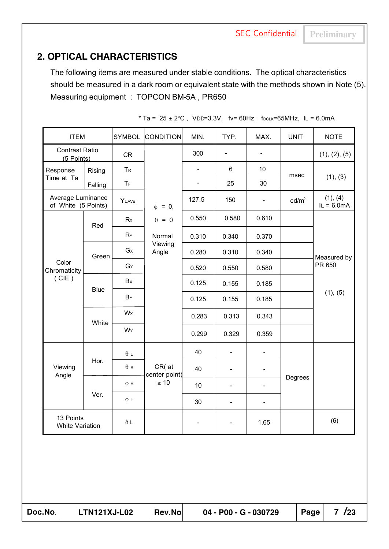The following items are measured under stable conditions. The optical characteristics should be measured in a dark room or equivalent state with the methods shown in Note (5). Measuring equipment : TOPCON BM-5A , PR650

| <b>ITEM</b>                              |                      | <b>SYMBOL</b>                     | <b>CONDITION</b>       | MIN.                     | TYP.                     | MAX.                         | <b>UNIT</b>       | <b>NOTE</b>              |
|------------------------------------------|----------------------|-----------------------------------|------------------------|--------------------------|--------------------------|------------------------------|-------------------|--------------------------|
| <b>Contrast Ratio</b><br>(5 Points)      |                      | <b>CR</b>                         |                        | 300                      | $\overline{\phantom{0}}$ | $\blacksquare$               |                   | (1), (2), (5)            |
| Response                                 | Rising               | $T_{R}$                           |                        |                          | 6                        | 10                           |                   |                          |
| Time at Ta                               | Falling              | <b>TF</b>                         |                        | $\blacksquare$           | 25                       | 30                           | msec              | (1), (3)                 |
| Average Luminance<br>of White (5 Points) |                      | $Y_{L,AVE}$                       | $\phi = 0$ ,           | 127.5                    | 150                      | $\overline{\phantom{a}}$     | cd/m <sup>2</sup> | (1), (4)<br>$IL = 6.0mA$ |
|                                          | Red                  | Rx                                | $\theta = 0$           | 0.550                    | 0.580                    | 0.610                        |                   |                          |
|                                          |                      | $R_Y$                             | Normal                 | 0.310                    | 0.340                    | 0.370                        |                   |                          |
|                                          | Green                | $G_X$                             | Viewing<br>Angle       | 0.280                    | 0.310                    | 0.340                        |                   | Measured by              |
| Color<br>Chromaticity                    |                      | $G_Y$                             |                        | 0.520                    | 0.550                    | 0.580                        |                   | PR 650                   |
| (CIE)                                    | <b>Blue</b><br>White | Bx                                |                        | 0.125                    | 0.155                    | 0.185                        |                   |                          |
|                                          |                      | BY                                |                        | 0.125                    | 0.155                    | 0.185                        |                   | (1), (5)                 |
|                                          |                      | Wx                                |                        | 0.283                    | 0.313                    | 0.343                        |                   |                          |
|                                          |                      | WY                                |                        | 0.299                    | 0.329                    | 0.359                        |                   |                          |
|                                          |                      | $\theta$ $\scriptstyle\mathsf{L}$ |                        | 40                       | $\overline{\phantom{a}}$ | $\overline{\phantom{a}}$     |                   |                          |
| Viewing<br>Angle                         | Hor.                 | $\theta$ R                        | CR(at<br>center point) | 40                       | $\overline{\phantom{a}}$ | $\overline{\phantom{a}}$     |                   |                          |
|                                          |                      | $\phi$ H                          | $\geq 10$              | 10                       | $\blacksquare$           | $\qquad \qquad \blacksquare$ | Degrees           |                          |
|                                          | Ver.                 | $\phi L$                          |                        | 30                       | $\blacksquare$           | $\overline{\phantom{0}}$     |                   |                          |
| 13 Points<br>White Variation             |                      | $\delta L$                        |                        | $\overline{\phantom{a}}$ | $\overline{\phantom{a}}$ | 1.65                         |                   | (6)                      |
|                                          |                      |                                   |                        |                          |                          |                              |                   |                          |

\* Ta =  $25 \pm 2^{\circ}$ C, VDD=3.3V, fv= 60Hz, fDCLK=65MHz, IL = 6.0mA

**2. OPTICAL CHARACTERISTICS**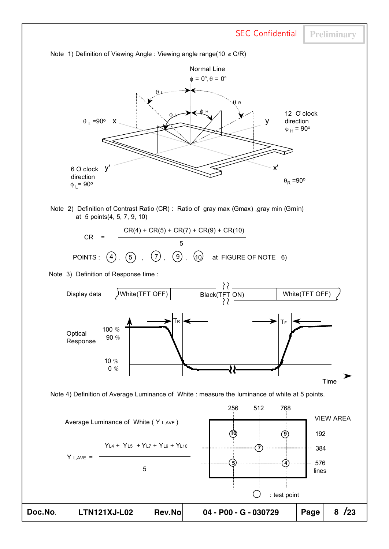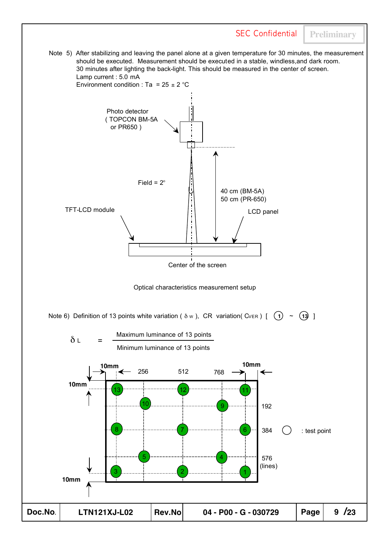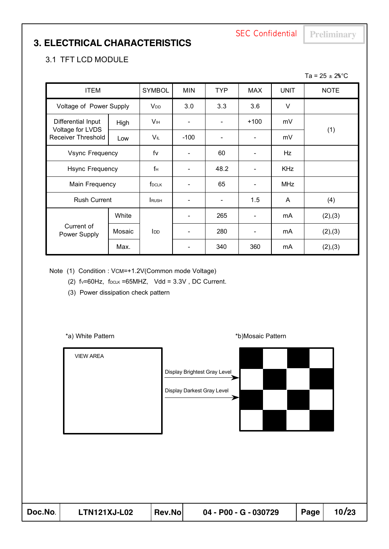## **3. ELECTRICAL CHARACTERISTICS**

## 3.1 TFT LCD MODULE

| <b>ITEM</b>                                   |        | <b>SYMBOL</b>         | <b>MIN</b>               | <b>TYP</b> | <b>MAX</b>               | <b>UNIT</b> | <b>NOTE</b> |
|-----------------------------------------------|--------|-----------------------|--------------------------|------------|--------------------------|-------------|-------------|
| Voltage of Power Supply                       |        | <b>V<sub>DD</sub></b> | 3.0                      | 3.3        | 3.6                      | $\vee$      |             |
| Differential Input                            | High   | V <sub>IH</sub>       | $\overline{\phantom{a}}$ |            | $+100$                   | mV          |             |
| Voltage for LVDS<br><b>Receiver Threshold</b> | Low    | VĩL                   | $-100$                   |            | -                        | mV          | (1)         |
| <b>Vsync Frequency</b>                        |        | fv                    | $\overline{\phantom{a}}$ | 60         |                          | Hz          |             |
| <b>Hsync Frequency</b>                        |        | $f_H$                 | $\overline{\phantom{a}}$ | 48.2       |                          | <b>KHz</b>  |             |
| Main Frequency                                |        | f <sub>DCLK</sub>     | $\overline{\phantom{a}}$ | 65         | $\overline{\phantom{0}}$ | <b>MHz</b>  |             |
| <b>Rush Current</b>                           |        | <b>RUSH</b>           |                          |            | 1.5                      | A           | (4)         |
|                                               | White  |                       | $\overline{\phantom{a}}$ | 265        |                          | mA          | (2),(3)     |
| Current of<br>Power Supply                    | Mosaic | I <sub>DD</sub>       | $\overline{\phantom{a}}$ | 280        | $\overline{\phantom{0}}$ | mA          | (2),(3)     |
|                                               | Max.   |                       |                          | 340        | 360                      | mA          | (2),(3)     |

Note (1) Condition : VCM=+1.2V(Common mode Voltage)

(2)  $f_v=60Hz$ ,  $f_{DCLK} = 65MHz$ ,  $Vdd = 3.3V$ , DC Current.

(3) Power dissipation check pattern

\*a) White Pattern **\*b**)Mosaic Pattern **\*b**)Mosaic Pattern

|         | <b>VIEW AREA</b>    |        | Display Brightest Gray Level<br>Display Darkest Gray Level |      |       |
|---------|---------------------|--------|------------------------------------------------------------|------|-------|
| Doc.No. | <b>LTN121XJ-L02</b> | Rev.No | 04 - P00 - G - 030729                                      | Page | 10/23 |

### Ta =  $25 \pm 2\%$ °C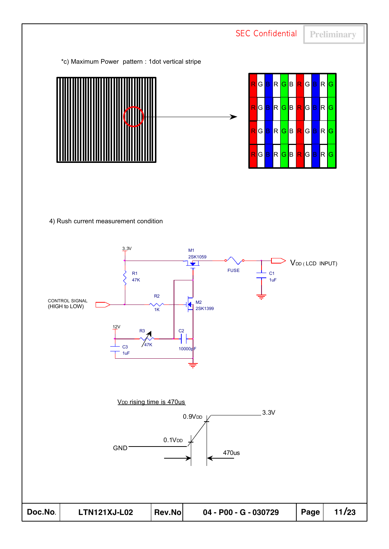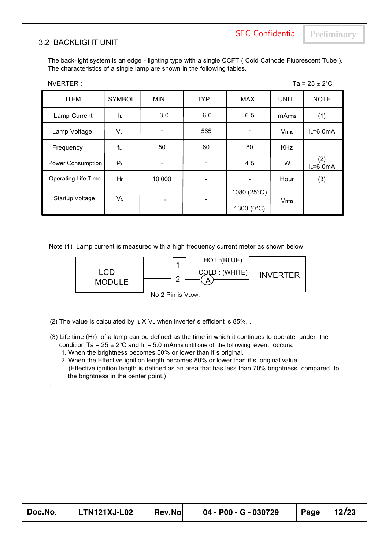### 3.2 BACKLIGHT UNIT

.

The back-light system is an edge - lighting type with a single CCFT ( Cold Cathode Fluorescent Tube ). The characteristics of a single lamp are shown in the following tables.

| <b>INVERTER:</b>    |                |            |            |                     |             | Ta = $25 \pm 2^{\circ}$ C |
|---------------------|----------------|------------|------------|---------------------|-------------|---------------------------|
| <b>ITEM</b>         | <b>SYMBOL</b>  | <b>MIN</b> | <b>TYP</b> | <b>MAX</b>          | <b>UNIT</b> | <b>NOTE</b>               |
| Lamp Current        | ΙL             | 3.0        | 6.0        | 6.5                 | mArms       | (1)                       |
| Lamp Voltage        | VL             |            | 565        |                     | Vms         | $L=6.0mA$                 |
| Frequency           | $f_L$          | 50         | 60         | 80                  | <b>KHz</b>  |                           |
| Power Consumption   | P <sub>L</sub> |            |            | 4.5                 | W           | (2)<br>$L=6.0mA$          |
| Operating Life Time | Hr             | 10,000     |            |                     | Hour        | (3)                       |
| Startup Voltage     | V <sub>s</sub> | -          |            | 1080 (25°C)         |             |                           |
|                     |                |            |            | 1300 $(0^{\circ}C)$ | Vms         |                           |

Note (1) Lamp current is measured with a high frequency current meter as shown below.



- (2) The value is calculated by  $I \cup X$  V<sub>L</sub> when inverter' s efficient is 85%. .
- (3) Life time (Hr) of a lamp can be defined as the time in which it continues to operate under the condition Ta =  $25 \pm 2^{\circ}$ C and I<sub>L</sub> = 5.0 mArms until one of the following event occurs.
	- 1. When the brightness becomes 50% or lower than it s original.
	- 2. When the Effective ignition length becomes 80% or lower than it s original value. (Effective ignition length is defined as an area that has less than 70% brightness compared to the brightness in the center point.)

| Doc.No. | <b>LTN121XJ-L02</b> | <b>Rev.Nol</b> | 04 - P00 - G - 030729 | Page | 12/23 |
|---------|---------------------|----------------|-----------------------|------|-------|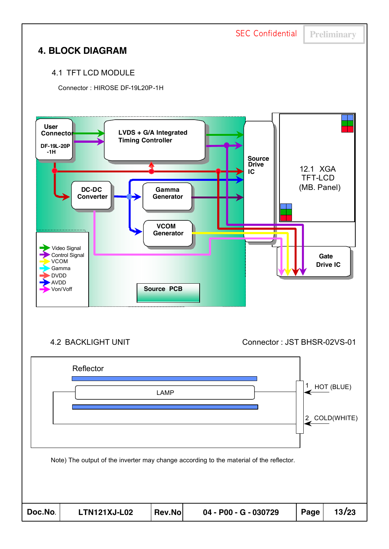**SEC Confidential Preliminary 4. BLOCK DIAGRAM** 4.1 TFT LCD MODULE Connector : HIROSE DF-19L20P-1H **User LVDS + G/A Integrated Connecto Timing Controller DF-19L-20P -1H Source Drive** 12.1 XGA **IC** TFT-LCD (MB. Panel) **DC-DC Gamma Converter Generator VCOM Generator** Л Video Signal Control Signal **Gate** VCOM **Drive IC** Gamma DVDD AVDD Von/Voff **Source PCB** 4.2 BACKLIGHT UNIT Connector : JST BHSR-02VS-01Reflector  $1$ , HOT (BLUE) LAMP COLD(WHITE) 2 Note) The output of the inverter may change according to the material of the reflector. **Doc.No. LTN121XJ-L02 Rev.No 04 - P00 - G - 030729 Page 13/23**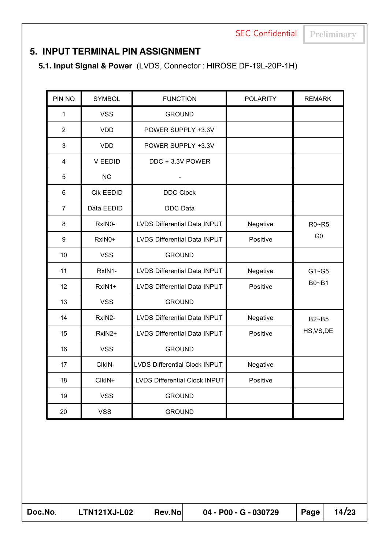## **5. INPUT TERMINAL PIN ASSIGNMENT**

**5.1. Input Signal & Power** (LVDS, Connector : HIROSE DF-19L-20P-1H)

| PIN NO         | <b>SYMBOL</b>    | <b>FUNCTION</b>                      | <b>POLARITY</b> | <b>REMARK</b>  |
|----------------|------------------|--------------------------------------|-----------------|----------------|
| 1              | <b>VSS</b>       | <b>GROUND</b>                        |                 |                |
| $\overline{2}$ | <b>VDD</b>       | POWER SUPPLY +3.3V                   |                 |                |
| 3              | <b>VDD</b>       | POWER SUPPLY +3.3V                   |                 |                |
| 4              | V EEDID          | DDC + 3.3V POWER                     |                 |                |
| 5              | <b>NC</b>        |                                      |                 |                |
| 6              | <b>CIK EEDID</b> | <b>DDC Clock</b>                     |                 |                |
| $\overline{7}$ | Data EEDID       | <b>DDC</b> Data                      |                 |                |
| 8              | RxIN0-           | LVDS Differential Data INPUT         | Negative        | R0~R5          |
| 9              | RxIN0+           | LVDS Differential Data INPUT         | Positive        | G <sub>0</sub> |
| 10             | <b>VSS</b>       | <b>GROUND</b>                        |                 |                |
| 11             | RxIN1-           | LVDS Differential Data INPUT         | Negative        | $G1 - G5$      |
| 12             | RxIN1+           | LVDS Differential Data INPUT         | Positive        | $B0 - B1$      |
| 13             | <b>VSS</b>       | <b>GROUND</b>                        |                 |                |
| 14             | RxIN2-           | LVDS Differential Data INPUT         | Negative        | $B2 - B5$      |
| 15             | RxIN2+           | LVDS Differential Data INPUT         | Positive        | HS, VS, DE     |
| 16             | <b>VSS</b>       | <b>GROUND</b>                        |                 |                |
| 17             | CIkIN-           | <b>LVDS Differential Clock INPUT</b> | Negative        |                |
| 18             | CIkIN+           | <b>LVDS Differential Clock INPUT</b> | Positive        |                |
| 19             | <b>VSS</b>       | <b>GROUND</b>                        |                 |                |
| 20             | <b>VSS</b>       | <b>GROUND</b>                        |                 |                |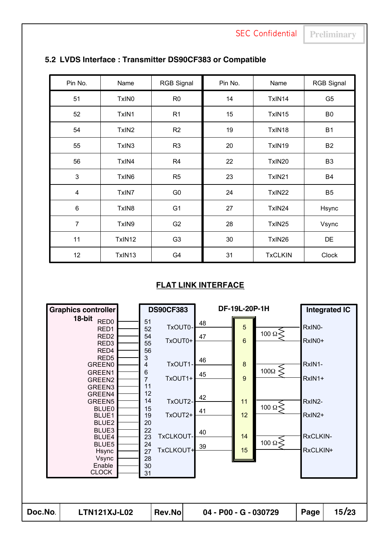| Pin No.        | Name              | <b>RGB Signal</b> | Pin No. | Name           | <b>RGB Signal</b> |
|----------------|-------------------|-------------------|---------|----------------|-------------------|
| 51             | TxIN <sub>0</sub> | R <sub>0</sub>    | 14      | TxIN14         | G <sub>5</sub>    |
| 52             | TxIN1             | R <sub>1</sub>    | 15      | TxIN15         | B <sub>0</sub>    |
| 54             | TxIN <sub>2</sub> | R <sub>2</sub>    | 19      | TxIN18         | <b>B1</b>         |
| 55             | TxIN3             | R <sub>3</sub>    | 20      | TxIN19         | <b>B2</b>         |
| 56             | TxIN4             | R <sub>4</sub>    | 22      | TxIN20         | B <sub>3</sub>    |
| 3              | TxIN6             | R <sub>5</sub>    | 23      | TxIN21         | <b>B4</b>         |
| $\overline{4}$ | TxIN7             | G <sub>0</sub>    | 24      | TxIN22         | <b>B5</b>         |
| $\,6$          | TxIN8             | G <sub>1</sub>    | 27      | TxIN24         | Hsync             |
| $\overline{7}$ | TxIN9             | G <sub>2</sub>    | 28      | TxIN25         | Vsync             |
| 11             | TxIN12            | G <sub>3</sub>    | 30      | TxIN26         | DE                |
| 12             | TxIN13            | G4                | 31      | <b>TxCLKIN</b> | Clock             |

### **5.2 LVDS Interface : Transmitter DS90CF383 or Compatible**

### **FLAT LINK INTERFACE**

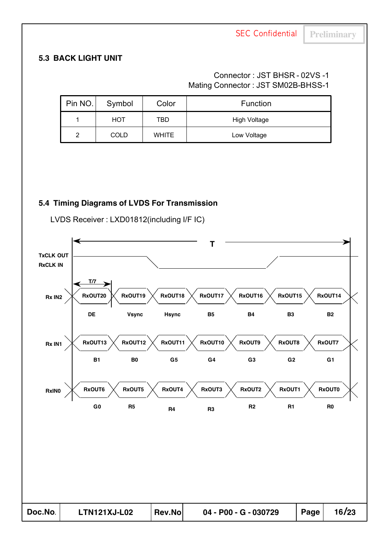### **5.3 BACK LIGHT UNIT**

### Connector : JST BHSR - 02VS -1 Mating Connector : JST SM02B-BHSS-1

| Pin NO.        | Symbol      | Color        | Function            |
|----------------|-------------|--------------|---------------------|
|                | HOT         | TBD          | <b>High Voltage</b> |
| $\overline{2}$ | <b>COLD</b> | <b>WHITE</b> | Low Voltage         |

### **5.4 Timing Diagrams of LVDS For Transmission**

**Doc.No. LTN121XJ-L02 Rev.No 04 - P00 - G - 030729 Page 16/23 RxOUT20**  $\mathbb{X}$  **RxOUT19**  $\mathbb{X}$  **RxOUT18**  $\mathbb{X}$  **RxOUT17**  $\mathbb{X}$  **RxOUT16**  $\mathbb{X}$  **RxOUT14 RxOUT13 RxOUT12 RxOUT11 RxOUT10 RxOUT9 RxOUT8 RxOUT7 RxOUT6 RxOUT5 RxOUT4 RxOUT3 RxOUT2 RxOUT1 RxOUT0 T T/7 Vsync Hsync B5 B4 B3 B2 B1 B0 G5 G4 G3 G2 G1 G0 R4 R5 R2 R1 R0 TxCLK OUT RxCLK IN Rx IN1 RxIN0 Rx IN2 DE R3**

LVDS Receiver : LXD01812(including I/F IC)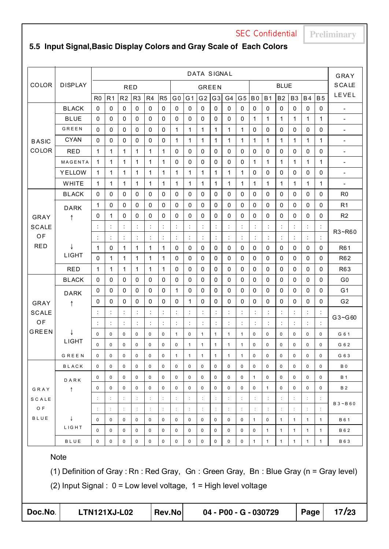## **5.5 Input Signal,Basic Display Colors and Gray Scale of Each Colors**

|              |                                                                                      |                                           |                |                |                |                |                |                      |                      | DATA SIGNAL    |                |                |                |              |                       |                |                     |              |                      | GRAY                     |
|--------------|--------------------------------------------------------------------------------------|-------------------------------------------|----------------|----------------|----------------|----------------|----------------|----------------------|----------------------|----------------|----------------|----------------|----------------|--------------|-----------------------|----------------|---------------------|--------------|----------------------|--------------------------|
| COLOR        | <b>DISPLAY</b>                                                                       | <b>BLUE</b><br><b>RED</b><br><b>GREEN</b> |                |                | <b>SCALE</b>   |                |                |                      |                      |                |                |                |                |              |                       |                |                     |              |                      |                          |
|              |                                                                                      | R <sub>0</sub>                            | R <sub>1</sub> | R <sub>2</sub> | R <sub>3</sub> | R <sub>4</sub> | R <sub>5</sub> | G <sub>0</sub>       | G <sub>1</sub>       | G <sub>2</sub> | G <sub>3</sub> | G <sub>4</sub> | G <sub>5</sub> | <b>B0</b>    | B <sub>1</sub>        | B <sub>2</sub> | B <sub>3</sub>      | <b>B4</b>    | <b>B5</b>            | LEVEL                    |
|              | <b>BLACK</b>                                                                         | 0                                         | 0              | $\mathbf 0$    | $\mathbf 0$    | $\Omega$       | $\mathbf{0}$   | $\mathbf{0}$         | $\mathbf{0}$         | $\mathbf{0}$   | 0              | 0              | $\mathbf 0$    | 0            | 0                     | $\mathbf 0$    | $\mathbf{0}$        | $\Omega$     | 0                    | $\blacksquare$           |
|              | <b>BLUE</b>                                                                          | 0                                         | 0              | 0              | $\Omega$       | $\Omega$       | 0              | 0                    | 0                    | 0              | 0              | 0              | 0              | 1            | 1                     | $\mathbf 1$    | 1                   | 1            | 1                    | $\overline{\phantom{a}}$ |
|              | GREEN                                                                                | 0                                         | 0              | $\mathbf 0$    | $\mathbf 0$    | 0              | 0              | 1                    | $\mathbf{1}$         | 1              | $\mathbf{1}$   | 1              | 1              | 0            | 0                     | 0              | 0                   | 0            | 0                    | $\blacksquare$           |
| <b>BASIC</b> | <b>CYAN</b>                                                                          | 0                                         | 0              | 0              | $\Omega$       | $\Omega$       | $\Omega$       | 1                    | $\mathbf{1}$         | $\mathbf{1}$   | 1              | $\mathbf{1}$   | 1              | $\mathbf{1}$ | 1                     | $\mathbf{1}$   | $\mathbf{1}$        | 1            | $\mathbf{1}$         | $\overline{\phantom{a}}$ |
| COLOR        | <b>RED</b>                                                                           | 1                                         | 1              | 1              | 1              | $\mathbf 1$    | 1              | $\Omega$             | 0                    | $\mathbf{0}$   | 0              | 0              | 0              | 0            | $\mathbf{0}$          | 0              | 0                   | 0            | 0                    | $\qquad \qquad -$        |
|              | <b>MAGENTA</b>                                                                       | 1                                         | 1              | 1              | 1              | 1              | 1              | 0                    | 0                    | 0              | 0              | 0              | 0              | 1            | 1                     | 1              | 1                   | 1            | 1                    | $\overline{\phantom{a}}$ |
|              | <b>YELLOW</b>                                                                        | 1                                         | 1              | 1              | 1              | $\mathbf 1$    | 1              | 1                    | $\mathbf{1}$         | 1              | 1              | 1              | 1              | 0            | 0                     | 0              | 0                   | 0            | 0                    | $\overline{\phantom{a}}$ |
|              | WHITE                                                                                | $\mathbf{1}$                              | $\mathbf 1$    | 1              | 1              | 1              | $\mathbf{1}$   | 1                    | $\mathbf{1}$         | $\mathbf{1}$   | 1              | 1              | $\mathbf{1}$   | 1            | 1                     | $\mathbf{1}$   | $\mathbf{1}$        | 1            | $\mathbf{1}$         | $\overline{\phantom{a}}$ |
|              | <b>BLACK</b>                                                                         | 0                                         | 0              | 0              | $\mathbf 0$    | $\Omega$       | 0              | $\Omega$             | 0                    | $\mathbf{0}$   | 0              | 0              | 0              | 0            | $\mathbf{0}$          | 0              | 0                   | 0            | 0                    | R <sub>0</sub>           |
|              | <b>DARK</b>                                                                          | 1                                         | 0              | 0              | $\Omega$       | $\Omega$       | 0              | $\Omega$             | 0                    | $\mathbf{0}$   | 0              | 0              | 0              | 0            | 0                     | 0              | 0                   | 0            | 0                    | R <sub>1</sub>           |
| GRAY         | ↑                                                                                    | 0                                         | 1              | $\mathbf 0$    | $\mathbf 0$    | 0              | 0              | 0                    | $\mathbf 0$          | $\mathbf 0$    | 0              | 0              | 0              | 0            | 0                     | 0              | 0                   | 0            | 0                    | R <sub>2</sub>           |
| <b>SCALE</b> |                                                                                      |                                           |                | t              | t              | ċ              | $\ddot{\cdot}$ | t                    | ÷                    | ÷              | t              | ċ              | t              | t            | $\ddot{\cdot}$        | ċ              | ÷                   | ÷            | ÷                    | R3~R60                   |
| OF           |                                                                                      | ÷                                         |                | t              | $\ddot{\cdot}$ | t              | ÷              | ÷                    | $\ddot{\cdot}$       | ÷              | t.             | ÷              | t              | t            | ÷                     | ÷              | ÷                   | ÷            |                      |                          |
| <b>RED</b>   | J<br>LIGHT                                                                           | 1                                         | 0              | 1              | 1              | 1              | 1              | 0                    | 0                    | 0              | 0              | 0              | 0              | 0            | 0                     | 0              | 0                   | 0            | 0                    | R <sub>6</sub> 1         |
|              |                                                                                      | $\Omega$                                  | $\mathbf{1}$   | 1              | $\mathbf{1}$   | 1              | $\mathbf{1}$   | 0                    | $\Omega$             | $\mathbf 0$    | 0              | 0              | 0              | 0            | 0                     | 0              | 0                   | 0            | 0                    | R <sub>62</sub>          |
|              | <b>RED</b>                                                                           | $\mathbf{1}$                              | $\mathbf 1$    | 1              | $\mathbf 1$    | 1              | 1              | $\Omega$             | $\mathbf{0}$         | $\mathbf{0}$   | 0              | $\mathbf 0$    | 0              | $\Omega$     | 0                     | 0              | $\Omega$            | 0            | 0                    | R63                      |
|              | <b>BLACK</b>                                                                         | 0                                         | 0              | 0              | $\mathbf 0$    | 0              | 0              | 0                    | 0                    | $\mathbf 0$    | 0              | 0              | 0              | 0            | 0                     | 0              | 0                   | 0            | 0                    | G <sub>0</sub>           |
|              | <b>DARK</b>                                                                          | 0                                         | 0              | 0              | $\mathbf 0$    | $\Omega$       | 0              | 1                    | 0                    | $\mathbf{0}$   | 0              | 0              | 0              | $\Omega$     | 0                     | 0              | 0                   | 0            | 0                    | G <sub>1</sub>           |
| GRAY         | ↑                                                                                    | 0                                         | 0              | 0              | $\mathbf 0$    | $\mathbf 0$    | 0              | 0                    | 1                    | $\mathbf 0$    | 0              | 0              | 0              | 0            | 0                     | 0              | 0                   | 0            | 0                    | G <sub>2</sub>           |
| SCALE        |                                                                                      |                                           | t              | ÷              | ċ              | ċ              | ÷              | ÷                    | ÷                    | ÷              | ÷              | ÷              | $\ddot{\cdot}$ | ċ            | ÷                     | ÷              | ÷                   | ÷            | t                    | $G3 - G60$               |
| OF           |                                                                                      | t                                         | ٠              | t              | ÷              | t              | $\ddot{\cdot}$ | t                    | $\ddot{\cdot}$       | ÷              | t              |                | t              | t            | $\ddot{\phantom{a}}$  | t              | ÷                   | t            | $\cdot$              |                          |
| <b>GREEN</b> | J<br>LIGHT                                                                           | 0                                         | 0              | 0              | $\mathbf 0$    | $\pmb{0}$      | 0              | $\mathbf{1}$         | 0                    | $\mathbf{1}$   | $\mathbf{1}$   | $\mathbf{1}$   | 1              | 0            | 0                     | 0              | 0                   | 0            | $\mathbf 0$          | G 6 1                    |
|              |                                                                                      | $\Omega$                                  | 0              | 0              | 0              | $\mathbf 0$    | 0              | $\mathbf 0$          | $\mathbf{1}$         | $\mathbf{1}$   | 1              | $\mathbf{1}$   | 1              | $\mathbf 0$  | $\mathbf 0$           | $\mathbf 0$    | $\mathbf 0$         | 0            | $\mathbf 0$          | G 6 2                    |
|              | <b>GREEN</b>                                                                         | $\overline{0}$                            | $\mathbf{0}$   | $\mathbf 0$    | $\mathbf 0$    | 0              | $\mathsf 0$    | $\mathbf{1}$         | $\mathbf{1}$         | $\mathbf{1}$   | $\mathbf{1}$   | $\mathbf{1}$   | $\mathbf{1}$   | $\mathsf 0$  | 0                     | $\mathbf 0$    | $\mathsf{O}\xspace$ | $\mathbf 0$  | $\mathbf 0$          | G 6 3                    |
|              | BLACK                                                                                | 0                                         | 0              | 0              | 0              | 0              | 0              | 0                    | 0                    | 0              | 0              | 0              | 0              | 0            | 0                     | 0              | 0                   | 0            | 0                    | B <sub>0</sub>           |
|              | DARK                                                                                 | 0                                         | 0              | 0              | 0              | 0              | 0              | 0                    | 0                    | 0              | 0              | 0              | 0              | $\mathbf{1}$ | 0                     | 0              | 0                   | 0            | 0                    | B 1                      |
| GRAY         | ↑                                                                                    | 0                                         | 0              | 0              | 0              | 0              | 0              | 0                    | 0                    | 0              | 0              | 0              | 0              | 0            | $\mathbf{1}$          | 0              | 0                   | 0            | 0                    | B 2                      |
| <b>SCALE</b> |                                                                                      |                                           |                | ÷              | $\ddot{\cdot}$ | $\ddot{\cdot}$ | $\ddot{\cdot}$ | $\vdots$             | ÷                    | ÷              |                | ÷              | $\ddot{\cdot}$ |              |                       | $\vdots$       | ÷                   | ÷            | $\ddot{\phantom{a}}$ | $B3 - B60$               |
| O F          |                                                                                      | ÷                                         |                | ÷              | $\ddot{\cdot}$ | ÷              | $\ddot{\cdot}$ | $\ddot{\phantom{a}}$ | $\ddot{\phantom{a}}$ | ÷              | ÷              | ÷              | ÷              | ÷            | ÷                     | ÷              | ÷                   | ÷            |                      |                          |
| BLUE         | ↓<br>LIGHT                                                                           | 0                                         | 0              | 0              | $\pmb{0}$      | 0              | 0              | 0                    | 0                    | 0              | 0              | 0              | 0              | $\mathbf{1}$ | 0                     | $\mathbf{1}$   | $\mathbf{1}$        | $\mathbf{1}$ | 1                    | B 6 1                    |
|              |                                                                                      | $\mathbf 0$                               | 0              | 0              | $\pmb{0}$      | $\pmb{0}$      | 0              | $\pmb{0}$            | 0                    | 0              | 0              | 0              | 0              | 0            | $\mathbf{1}$          | $\mathbf{1}$   | $\mathbf{1}$        | $\mathbf{1}$ | 1                    | B 6 2                    |
|              | BLUE                                                                                 | 0                                         | 0              | 0              | $\pmb{0}$      | $\pmb{0}$      | $\mathsf 0$    | $\mathsf 0$          | 0                    | 0              | 0              | 0              | 0              | $\mathbf{1}$ | $\mathbf{1}$          | $\mathbf{1}$   | $\mathbf{1}$        | $\mathbf{1}$ | $\mathbf{1}$         | <b>B63</b>               |
|              | <b>Note</b>                                                                          |                                           |                |                |                |                |                |                      |                      |                |                |                |                |              |                       |                |                     |              |                      |                          |
|              | (1) Definition of Gray: Rn: Red Gray, Gn: Green Gray, Bn: Blue Gray (n = Gray level) |                                           |                |                |                |                |                |                      |                      |                |                |                |                |              |                       |                |                     |              |                      |                          |
|              | (2) Input Signal : $0 = Low$ level voltage, $1 = High$ level voltage                 |                                           |                |                |                |                |                |                      |                      |                |                |                |                |              |                       |                |                     |              |                      |                          |
|              |                                                                                      |                                           |                |                |                |                |                |                      |                      |                |                |                |                |              |                       |                |                     |              |                      |                          |
| Doc.No.      |                                                                                      | <b>LTN121XJ-L02</b>                       |                |                |                |                |                | Rev.No               |                      |                |                |                |                |              | 04 - P00 - G - 030729 |                |                     | Page         |                      | 17/23                    |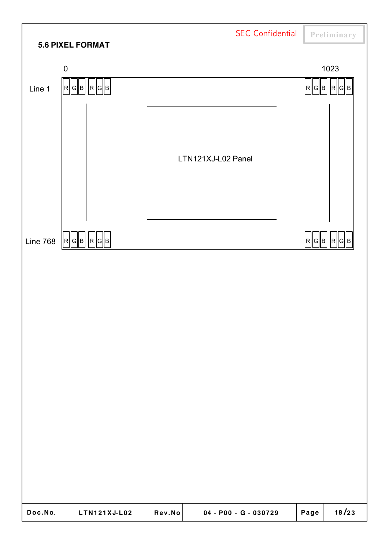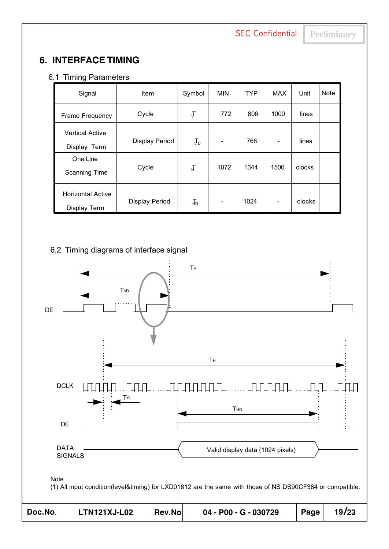## **6. INTERFACE TIMING**

### 6.1 Timing Parameters

| Signal                                   | Item           | Symbol     | <b>MIN</b> | <b>TYP</b> | MAX  | Unit   | <b>Note</b> |
|------------------------------------------|----------------|------------|------------|------------|------|--------|-------------|
| Frame Frequency                          | Cycle          | $\sqrt{ }$ | 772        | 806        | 1000 | lines  |             |
| <b>Vertical Active</b><br>Display Term   | Display Period | $J_D$      |            | 768        | -    | lines  |             |
| One Line<br><b>Scanning Time</b>         | Cycle          | Т          | 1072       | 1344       | 1500 | clocks |             |
| <b>Horizontal Active</b><br>Display Term | Display Period | 正          |            | 1024       | -    | clocks |             |

### 6.2 Timing diagrams of interface signal

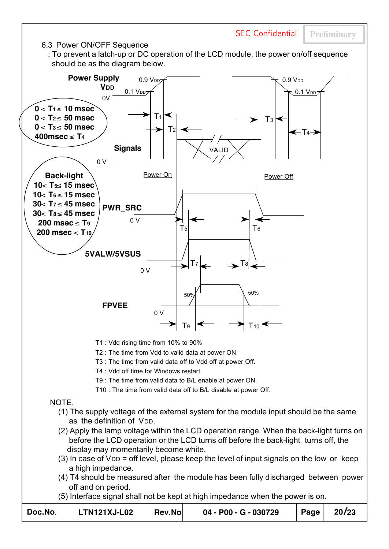### 6.3 Power ON/OFF Sequence

: To prevent a latch-up or DC operation of the LCD module, the power on/off sequence should be as the diagram below.

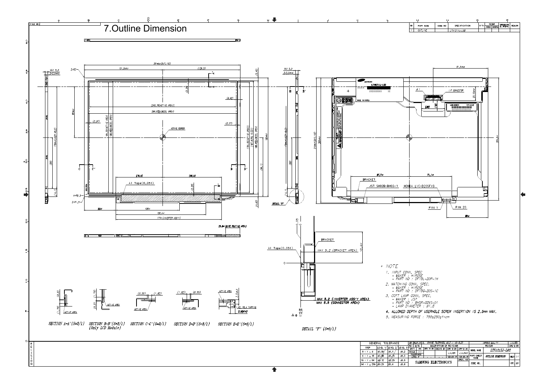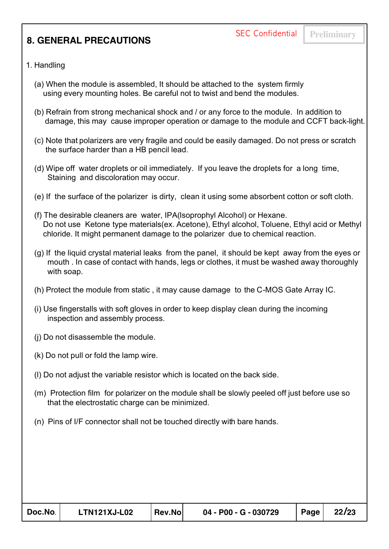# **8. GENERAL PRECAUTIONS** SEC Confidential Preliminary

### 1. Handling

- (a) When the module is assembled, It should be attached to the system firmly using every mounting holes. Be careful not to twist and bend the modules.
- (b) Refrain from strong mechanical shock and / or any force to the module. In addition to damage, this may cause improper operation or damage to the module and CCFT back-light.
- (c) Note that polarizers are very fragile and could be easily damaged. Do not press or scratch the surface harder than a HB pencil lead.
- (d) Wipe off water droplets or oil immediately. If you leave the droplets for a long time, Staining and discoloration may occur.
- (e) If the surface of the polarizer is dirty, clean it using some absorbent cotton or soft cloth.
- (f) The desirable cleaners are water, IPA(Isoprophyl Alcohol) or Hexane. Do not use Ketone type materials(ex. Acetone), Ethyl alcohol, Toluene, Ethyl acid or Methyl chloride. It might permanent damage to the polarizer due to chemical reaction.
- (g) If the liquid crystal material leaks from the panel, it should be kept away from the eyes or mouth . In case of contact with hands, legs or clothes, it must be washed away thoroughly with soap.
- (h) Protect the module from static , it may cause damage to the C-MOS Gate Array IC.
- (i) Use fingerstalls with soft gloves in order to keep display clean during the incoming inspection and assembly process.
- (j) Do not disassemble the module.
- (k) Do not pull or fold the lamp wire.
- (l) Do not adjust the variable resistor which is located on the back side.
- (m) Protection film for polarizer on the module shall be slowly peeled off just before use so that the electrostatic charge can be minimized.
- (n) Pins of I/F connector shall not be touched directly with bare hands.

| Doc.No. | <b>LTN121XJ-L02</b> | Rev.No | 04 - P00 - G - 030729 | $ $ Page | 22/23 |
|---------|---------------------|--------|-----------------------|----------|-------|